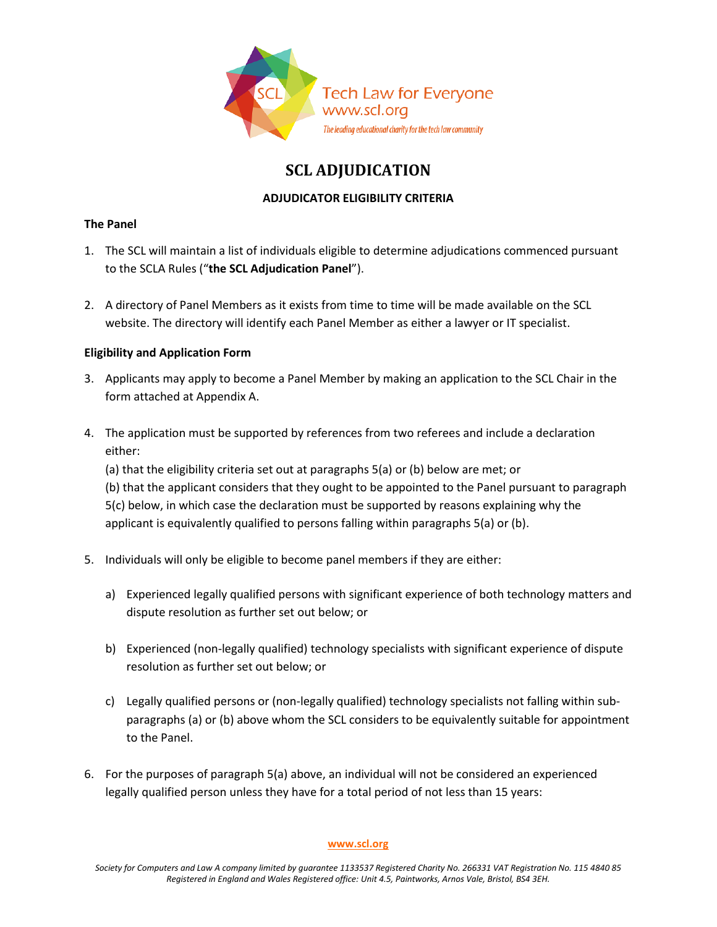

# **SCL ADJUDICATION**

## **ADJUDICATOR ELIGIBILITY CRITERIA**

#### **The Panel**

- 1. The SCL will maintain a list of individuals eligible to determine adjudications commenced pursuant to the SCLA Rules ("**the SCL Adjudication Panel**").
- 2. A directory of Panel Members as it exists from time to time will be made available on the SCL website. The directory will identify each Panel Member as either a lawyer or IT specialist.

### **Eligibility and Application Form**

- 3. Applicants may apply to become a Panel Member by making an application to the SCL Chair in the form attached at Appendix A.
- 4. The application must be supported by references from two referees and include a declaration either:

(a) that the eligibility criteria set out at paragraphs 5(a) or (b) below are met; or (b) that the applicant considers that they ought to be appointed to the Panel pursuant to paragraph 5(c) below, in which case the declaration must be supported by reasons explaining why the applicant is equivalently qualified to persons falling within paragraphs 5(a) or (b).

- 5. Individuals will only be eligible to become panel members if they are either:
	- a) Experienced legally qualified persons with significant experience of both technology matters and dispute resolution as further set out below; or
	- b) Experienced (non-legally qualified) technology specialists with significant experience of dispute resolution as further set out below; or
	- c) Legally qualified persons or (non-legally qualified) technology specialists not falling within subparagraphs (a) or (b) above whom the SCL considers to be equivalently suitable for appointment to the Panel.
- 6. For the purposes of paragraph 5(a) above, an individual will not be considered an experienced legally qualified person unless they have for a total period of not less than 15 years:

#### **[www.scl.org](http://www.scl.org/)**